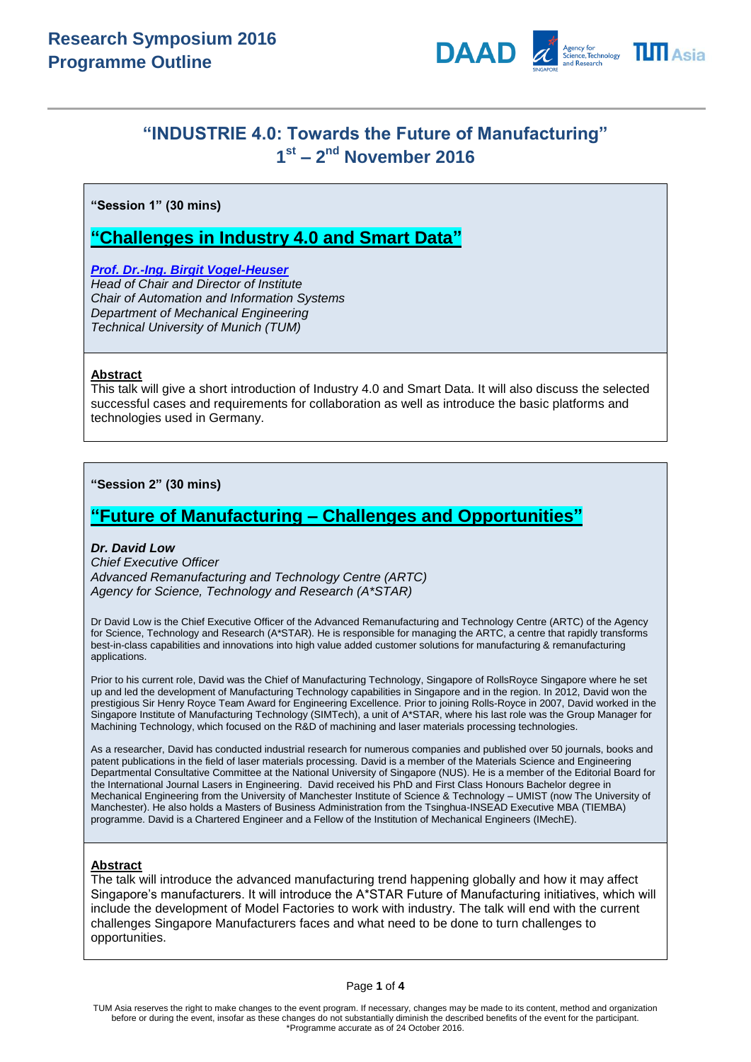

# **"INDUSTRIE 4.0: Towards the Future of Manufacturing" 1 st – 2 nd November 2016**

**"Session 1" (30 mins)**

# **"Challenges in Industry 4.0 and Smart Data"**

*[Prof. Dr.-Ing. Birgit Vogel-Heuser](http://www.professoren.tum.de/en/vogel-heuser-birgit/) Head of Chair and Director of Institute Chair of Automation and Information Systems Department of Mechanical Engineering Technical University of Munich (TUM)*

# **Abstract**

This talk will give a short introduction of Industry 4.0 and Smart Data. It will also discuss the selected successful cases and requirements for collaboration as well as introduce the basic platforms and technologies used in Germany.

**"Session 2" (30 mins)**

# **"Future of Manufacturing – Challenges and Opportunities"**

## *Dr. David Low*

*Chief Executive Officer Advanced Remanufacturing and Technology Centre (ARTC) Agency for Science, Technology and Research (A\*STAR)*

Dr David Low is the Chief Executive Officer of the Advanced Remanufacturing and Technology Centre (ARTC) of the Agency for Science, Technology and Research (A\*STAR). He is responsible for managing the ARTC, a centre that rapidly transforms best-in-class capabilities and innovations into high value added customer solutions for manufacturing & remanufacturing applications.

Prior to his current role, David was the Chief of Manufacturing Technology, Singapore of RollsRoyce Singapore where he set up and led the development of Manufacturing Technology capabilities in Singapore and in the region. In 2012, David won the prestigious Sir Henry Royce Team Award for Engineering Excellence. Prior to joining Rolls-Royce in 2007, David worked in the Singapore Institute of Manufacturing Technology (SIMTech), a unit of A\*STAR, where his last role was the Group Manager for Machining Technology, which focused on the R&D of machining and laser materials processing technologies.

As a researcher, David has conducted industrial research for numerous companies and published over 50 journals, books and patent publications in the field of laser materials processing. David is a member of the Materials Science and Engineering Departmental Consultative Committee at the National University of Singapore (NUS). He is a member of the Editorial Board for the International Journal Lasers in Engineering. David received his PhD and First Class Honours Bachelor degree in Mechanical Engineering from the University of Manchester Institute of Science & Technology – UMIST (now The University of Manchester). He also holds a Masters of Business Administration from the Tsinghua-INSEAD Executive MBA (TIEMBA) programme. David is a Chartered Engineer and a Fellow of the Institution of Mechanical Engineers (IMechE).

## **Abstract**

The talk will introduce the advanced manufacturing trend happening globally and how it may affect Singapore's manufacturers. It will introduce the A\*STAR Future of Manufacturing initiatives, which will include the development of Model Factories to work with industry. The talk will end with the current challenges Singapore Manufacturers faces and what need to be done to turn challenges to opportunities.

#### Page **1** of **4**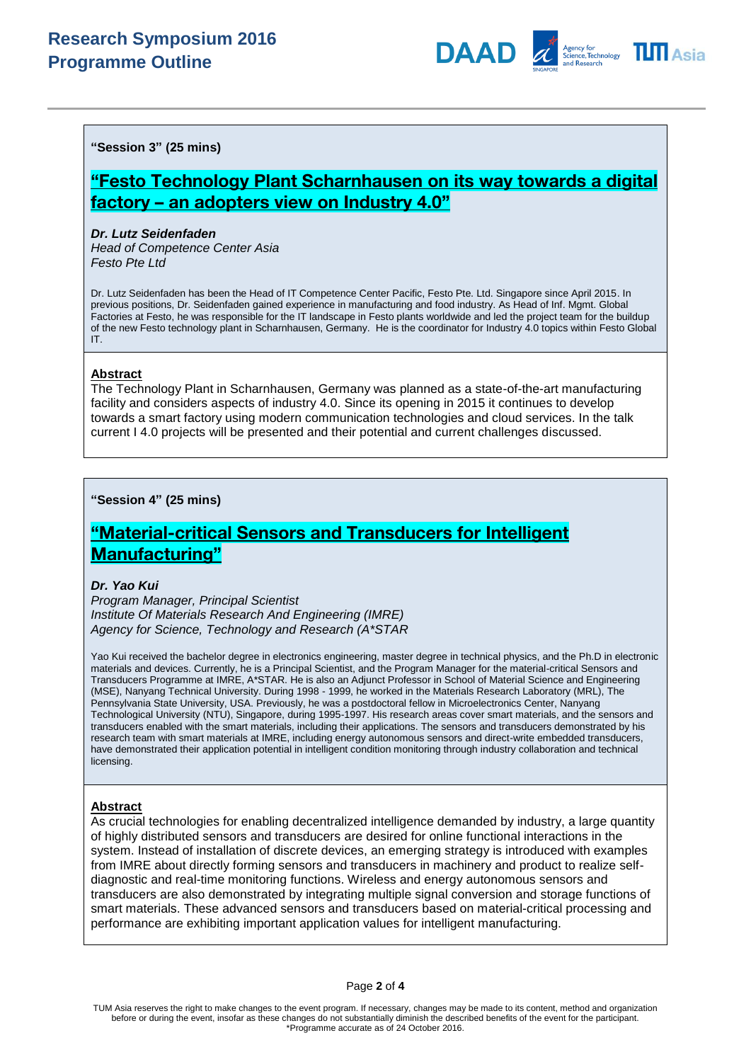# **Research Symposium 2016 Programme Outline**



**"Session 3" (25 mins)**

# **"Festo Technology Plant Scharnhausen on its way towards a digital factory – an adopters view on Industry 4.0"**

#### *Dr. Lutz Seidenfaden*

*Head of Competence Center Asia Festo Pte Ltd*

Dr. Lutz Seidenfaden has been the Head of IT Competence Center Pacific, Festo Pte. Ltd. Singapore since April 2015. In previous positions, Dr. Seidenfaden gained experience in manufacturing and food industry. As Head of Inf. Mgmt. Global Factories at Festo, he was responsible for the IT landscape in Festo plants worldwide and led the project team for the buildup of the new Festo technology plant in Scharnhausen, Germany. He is the coordinator for Industry 4.0 topics within Festo Global IT.

### **Abstract**

The Technology Plant in Scharnhausen, Germany was planned as a state-of-the-art manufacturing facility and considers aspects of industry 4.0. Since its opening in 2015 it continues to develop towards a smart factory using modern communication technologies and cloud services. In the talk current I 4.0 projects will be presented and their potential and current challenges discussed.

## **"Session 4" (25 mins)**

# **"Material-critical Sensors and Transducers for Intelligent Manufacturing"**

### *Dr. Yao Kui*

*Program Manager, Principal Scientist Institute Of Materials Research And Engineering (IMRE) Agency for Science, Technology and Research (A\*STAR*

Yao Kui received the bachelor degree in electronics engineering, master degree in technical physics, and the Ph.D in electronic materials and devices. Currently, he is a Principal Scientist, and the Program Manager for the material-critical Sensors and Transducers Programme at IMRE, A\*STAR. He is also an Adjunct Professor in School of Material Science and Engineering (MSE), Nanyang Technical University. During 1998 - 1999, he worked in the Materials Research Laboratory (MRL), The Pennsylvania State University, USA. Previously, he was a postdoctoral fellow in Microelectronics Center, Nanyang Technological University (NTU), Singapore, during 1995-1997. His research areas cover smart materials, and the sensors and transducers enabled with the smart materials, including their applications. The sensors and transducers demonstrated by his research team with smart materials at IMRE, including energy autonomous sensors and direct-write embedded transducers, have demonstrated their application potential in intelligent condition monitoring through industry collaboration and technical licensing.

### **Abstract**

As crucial technologies for enabling decentralized intelligence demanded by industry, a large quantity of highly distributed sensors and transducers are desired for online functional interactions in the system. Instead of installation of discrete devices, an emerging strategy is introduced with examples from IMRE about directly forming sensors and transducers in machinery and product to realize selfdiagnostic and real-time monitoring functions. Wireless and energy autonomous sensors and transducers are also demonstrated by integrating multiple signal conversion and storage functions of smart materials. These advanced sensors and transducers based on material-critical processing and performance are exhibiting important application values for intelligent manufacturing.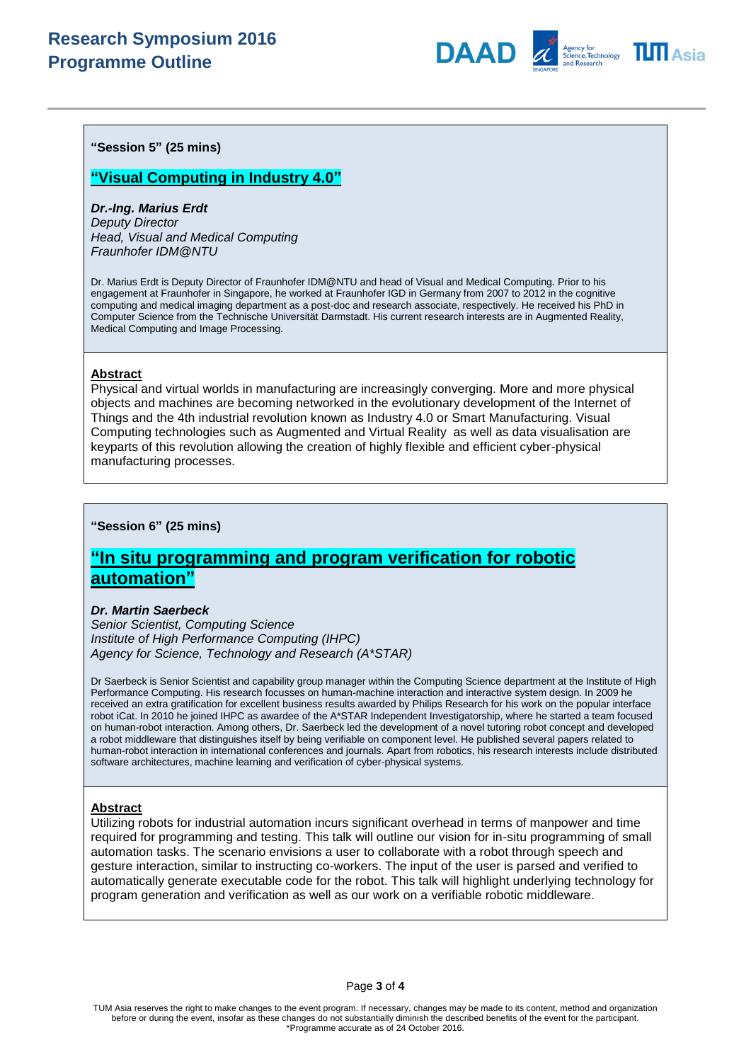# **Research Symposium 2016 Programme Outline**





**"Session 5" (25 mins)**

## **"Visual Computing in Industry 4.0"**

# *Dr.-Ing. Marius Erdt*

*Deputy Director Head, Visual and Medical Computing Fraunhofer IDM@NTU*

Dr. Marius Erdt is Deputy Director of Fraunhofer IDM@NTU and head of Visual and Medical Computing. Prior to his engagement at Fraunhofer in Singapore, he worked at Fraunhofer IGD in Germany from 2007 to 2012 in the cognitive computing and medical imaging department as a post-doc and research associate, respectively. He received his PhD in Computer Science from the Technische Universität Darmstadt. His current research interests are in Augmented Reality, Medical Computing and Image Processing.

### **Abstract**

Physical and virtual worlds in manufacturing are increasingly converging. More and more physical objects and machines are becoming networked in the evolutionary development of the Internet of Things and the 4th industrial revolution known as Industry 4.0 or Smart Manufacturing. Visual Computing technologies such as Augmented and Virtual Reality as well as data visualisation are keyparts of this revolution allowing the creation of highly flexible and efficient cyber-physical manufacturing processes.

### **"Session 6" (25 mins)**

# **"In situ programming and program verification for robotic automation"**

### *Dr. Martin Saerbeck*

*Senior Scientist, Computing Science Institute of High Performance Computing (IHPC) Agency for Science, Technology and Research (A\*STAR)*

Dr Saerbeck is Senior Scientist and capability group manager within the Computing Science department at the Institute of High Performance Computing. His research focusses on human-machine interaction and interactive system design. In 2009 he received an extra gratification for excellent business results awarded by Philips Research for his work on the popular interface robot iCat. In 2010 he joined IHPC as awardee of the A\*STAR Independent Investigatorship, where he started a team focused on human-robot interaction. Among others, Dr. Saerbeck led the development of a novel tutoring robot concept and developed a robot middleware that distinguishes itself by being verifiable on component level. He published several papers related to human-robot interaction in international conferences and journals. Apart from robotics, his research interests include distributed software architectures, machine learning and verification of cyber-physical systems.

### **Abstract**

Utilizing robots for industrial automation incurs significant overhead in terms of manpower and time required for programming and testing. This talk will outline our vision for in-situ programming of small automation tasks. The scenario envisions a user to collaborate with a robot through speech and gesture interaction, similar to instructing co-workers. The input of the user is parsed and verified to automatically generate executable code for the robot. This talk will highlight underlying technology for program generation and verification as well as our work on a verifiable robotic middleware.